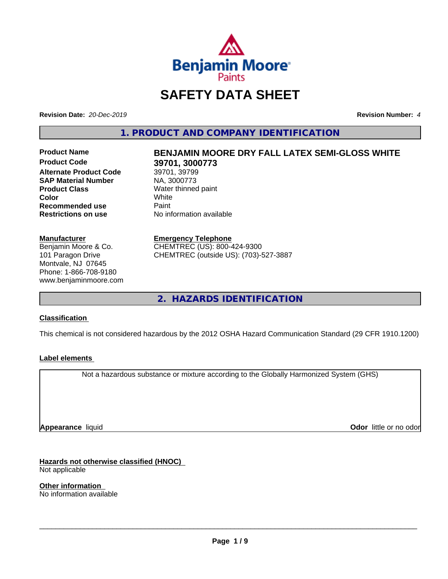

# **SAFETY DATA SHEET**

**Revision Date:** *20-Dec-2019* **Revision Number:** *4*

**1. PRODUCT AND COMPANY IDENTIFICATION**

**Alternate Product Code** 39701, 39799<br> **SAP Material Number** NA, 3000773 **SAP Material Number Product Class** Water thinned paint<br> **Color** White **Color** White **Recommended use** Paint **Restrictions on use** No information available

#### **Manufacturer**

Benjamin Moore & Co. 101 Paragon Drive Montvale, NJ 07645 Phone: 1-866-708-9180 www.benjaminmoore.com

# Product Name **BENJAMIN MOORE DRY FALL LATEX SEMI-GLOSS WHITE**<br>Product Code 39701 3000773 **39701, 3000773**<br>39701, 39799

## **Emergency Telephone**

CHEMTREC (US): 800-424-9300 CHEMTREC (outside US): (703)-527-3887

**2. HAZARDS IDENTIFICATION**

### **Classification**

This chemical is not considered hazardous by the 2012 OSHA Hazard Communication Standard (29 CFR 1910.1200)

### **Label elements**

Not a hazardous substance or mixture according to the Globally Harmonized System (GHS)

**Appearance** liquid

**Odor** little or no odor

**Hazards not otherwise classified (HNOC)**

Not applicable

**Other information** No information available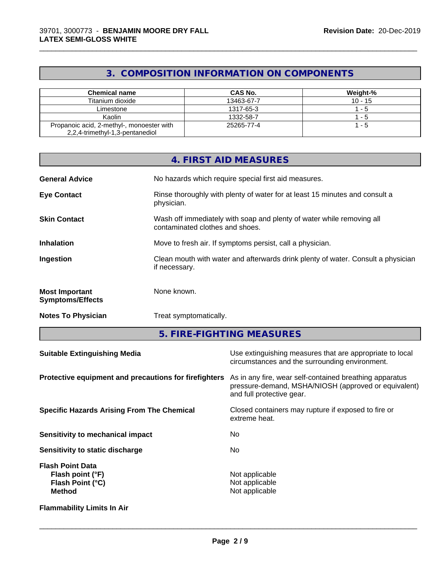# **3. COMPOSITION INFORMATION ON COMPONENTS**

\_\_\_\_\_\_\_\_\_\_\_\_\_\_\_\_\_\_\_\_\_\_\_\_\_\_\_\_\_\_\_\_\_\_\_\_\_\_\_\_\_\_\_\_\_\_\_\_\_\_\_\_\_\_\_\_\_\_\_\_\_\_\_\_\_\_\_\_\_\_\_\_\_\_\_\_\_\_\_\_\_\_\_\_\_\_\_\_\_\_\_\_\_

| <b>Chemical name</b>                                                         | CAS No.    | Weight-%  |
|------------------------------------------------------------------------------|------------|-----------|
| Titanium dioxide                                                             | 13463-67-7 | $10 - 15$ |
| Limestone                                                                    | 1317-65-3  | - 5       |
| Kaolin                                                                       | 1332-58-7  | - 5       |
| Propanoic acid, 2-methyl-, monoester with<br>2,2,4-trimethyl-1,3-pentanediol | 25265-77-4 | - 5       |

|                                                  | 4. FIRST AID MEASURES                                                                                      |
|--------------------------------------------------|------------------------------------------------------------------------------------------------------------|
| <b>General Advice</b>                            | No hazards which require special first aid measures.                                                       |
| <b>Eye Contact</b>                               | Rinse thoroughly with plenty of water for at least 15 minutes and consult a<br>physician.                  |
| <b>Skin Contact</b>                              | Wash off immediately with soap and plenty of water while removing all<br>contaminated clothes and shoes.   |
| <b>Inhalation</b>                                | Move to fresh air. If symptoms persist, call a physician.                                                  |
| Ingestion                                        | Clean mouth with water and afterwards drink plenty of water. Consult a physician<br>if necessary.          |
| <b>Most Important</b><br><b>Symptoms/Effects</b> | None known.                                                                                                |
| <b>Notes To Physician</b>                        | Treat symptomatically.                                                                                     |
|                                                  | 5. FIRE-FIGHTING MEASURES                                                                                  |
| <b>Suitable Extinguishing Media</b>              | Use extinguishing measures that are appropriate to local<br>circumstances and the surrounding environment. |

| Protective equipment and precautions for firefighters                                   | As in any fire, wear self-contained breathing apparatus<br>pressure-demand, MSHA/NIOSH (approved or equivalent)<br>and full protective gear. |
|-----------------------------------------------------------------------------------------|----------------------------------------------------------------------------------------------------------------------------------------------|
| <b>Specific Hazards Arising From The Chemical</b>                                       | Closed containers may rupture if exposed to fire or<br>extreme heat.                                                                         |
| Sensitivity to mechanical impact                                                        | No                                                                                                                                           |
| Sensitivity to static discharge                                                         | No.                                                                                                                                          |
| <b>Flash Point Data</b><br>Flash point (°F)<br><b>Flash Point (°C)</b><br><b>Method</b> | Not applicable<br>Not applicable<br>Not applicable                                                                                           |
| <b>Flammability Limits In Air</b>                                                       |                                                                                                                                              |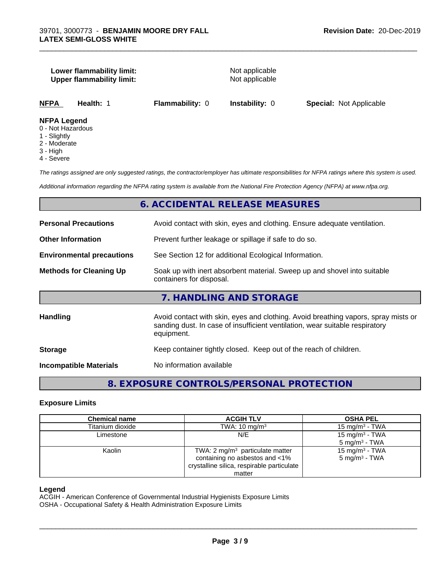#### **Lower flammability limit:** Not applicable **Upper flammability limit:** Not applicable

\_\_\_\_\_\_\_\_\_\_\_\_\_\_\_\_\_\_\_\_\_\_\_\_\_\_\_\_\_\_\_\_\_\_\_\_\_\_\_\_\_\_\_\_\_\_\_\_\_\_\_\_\_\_\_\_\_\_\_\_\_\_\_\_\_\_\_\_\_\_\_\_\_\_\_\_\_\_\_\_\_\_\_\_\_\_\_\_\_\_\_\_\_

**NFPA Health:** 1 **Flammability:** 0 **Instability:** 0 **Special:** Not Applicable

#### **NFPA Legend**

- 0 Not Hazardous
- 1 Slightly
- 2 Moderate
- 3 High
- 4 Severe

*The ratings assigned are only suggested ratings, the contractor/employer has ultimate responsibilities for NFPA ratings where this system is used.*

*Additional information regarding the NFPA rating system is available from the National Fire Protection Agency (NFPA) at www.nfpa.org.*

#### **6. ACCIDENTAL RELEASE MEASURES**

| <b>Personal Precautions</b>      | Avoid contact with skin, eyes and clothing. Ensure adequate ventilation.                                                                                                         |  |  |
|----------------------------------|----------------------------------------------------------------------------------------------------------------------------------------------------------------------------------|--|--|
| <b>Other Information</b>         | Prevent further leakage or spillage if safe to do so.                                                                                                                            |  |  |
| <b>Environmental precautions</b> | See Section 12 for additional Ecological Information.                                                                                                                            |  |  |
| <b>Methods for Cleaning Up</b>   | Soak up with inert absorbent material. Sweep up and shovel into suitable<br>containers for disposal.                                                                             |  |  |
|                                  | 7. HANDLING AND STORAGE                                                                                                                                                          |  |  |
| <b>Handling</b>                  | Avoid contact with skin, eyes and clothing. Avoid breathing vapors, spray mists or<br>sanding dust. In case of insufficient ventilation, wear suitable respiratory<br>equipment. |  |  |
| <b>Storage</b>                   | Keep container tightly closed. Keep out of the reach of children.                                                                                                                |  |  |
| <b>Incompatible Materials</b>    | No information available                                                                                                                                                         |  |  |
|                                  |                                                                                                                                                                                  |  |  |

# **8. EXPOSURE CONTROLS/PERSONAL PROTECTION**

#### **Exposure Limits**

#### **Legend**

ACGIH - American Conference of Governmental Industrial Hygienists Exposure Limits

OSHA - Occupational Safety & Health Administration Exposure Limits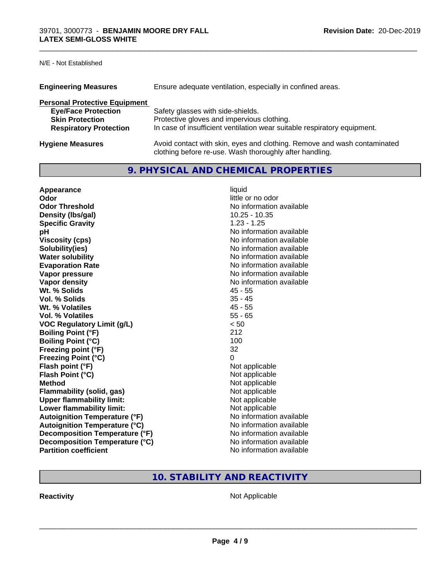N/E - Not Established

| <b>Engineering Measures</b>          | Ensure adequate ventilation, especially in confined areas.                                                                          |  |  |
|--------------------------------------|-------------------------------------------------------------------------------------------------------------------------------------|--|--|
| <b>Personal Protective Equipment</b> |                                                                                                                                     |  |  |
| <b>Eye/Face Protection</b>           | Safety glasses with side-shields.                                                                                                   |  |  |
| <b>Skin Protection</b>               | Protective gloves and impervious clothing.                                                                                          |  |  |
| <b>Respiratory Protection</b>        | In case of insufficient ventilation wear suitable respiratory equipment.                                                            |  |  |
| <b>Hygiene Measures</b>              | Avoid contact with skin, eyes and clothing. Remove and wash contaminated<br>clothing before re-use. Wash thoroughly after handling. |  |  |

# **9. PHYSICAL AND CHEMICAL PROPERTIES**

\_\_\_\_\_\_\_\_\_\_\_\_\_\_\_\_\_\_\_\_\_\_\_\_\_\_\_\_\_\_\_\_\_\_\_\_\_\_\_\_\_\_\_\_\_\_\_\_\_\_\_\_\_\_\_\_\_\_\_\_\_\_\_\_\_\_\_\_\_\_\_\_\_\_\_\_\_\_\_\_\_\_\_\_\_\_\_\_\_\_\_\_\_

| Appearance                            | liquid                   |
|---------------------------------------|--------------------------|
| Odor                                  | little or no odor        |
| <b>Odor Threshold</b>                 | No information available |
| Density (Ibs/gal)                     | $10.25 - 10.35$          |
| <b>Specific Gravity</b>               | $1.23 - 1.25$            |
| рH                                    | No information available |
| <b>Viscosity (cps)</b>                | No information available |
| Solubility(ies)                       | No information available |
| <b>Water solubility</b>               | No information available |
| <b>Evaporation Rate</b>               | No information available |
| Vapor pressure                        | No information available |
| Vapor density                         | No information available |
| Wt. % Solids                          | $45 - 55$                |
| Vol. % Solids                         | $35 - 45$                |
| Wt. % Volatiles                       | $45 - 55$                |
| Vol. % Volatiles                      | $55 - 65$                |
| <b>VOC Regulatory Limit (g/L)</b>     | < 50                     |
| <b>Boiling Point (°F)</b>             | 212                      |
| <b>Boiling Point (°C)</b>             | 100                      |
| Freezing point (°F)                   | 32                       |
| <b>Freezing Point (°C)</b>            | 0                        |
| Flash point (°F)                      | Not applicable           |
| Flash Point (°C)                      | Not applicable           |
| <b>Method</b>                         | Not applicable           |
| <b>Flammability (solid, gas)</b>      | Not applicable           |
| <b>Upper flammability limit:</b>      | Not applicable           |
| Lower flammability limit:             | Not applicable           |
| <b>Autoignition Temperature (°F)</b>  | No information available |
| <b>Autoignition Temperature (°C)</b>  | No information available |
| <b>Decomposition Temperature (°F)</b> | No information available |
| Decomposition Temperature (°C)        | No information available |
| <b>Partition coefficient</b>          | No information available |

# **10. STABILITY AND REACTIVITY**

**Reactivity Not Applicable** Not Applicable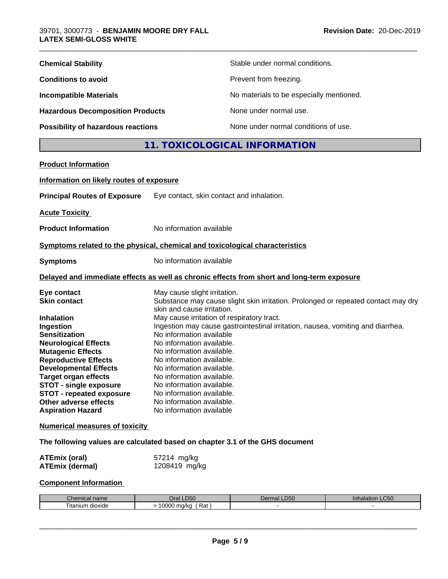| <b>Chemical Stability</b>               | Stable under normal conditions.          |
|-----------------------------------------|------------------------------------------|
| <b>Conditions to avoid</b>              | Prevent from freezing.                   |
| <b>Incompatible Materials</b>           | No materials to be especially mentioned. |
| <b>Hazardous Decomposition Products</b> | None under normal use.                   |
| Possibility of hazardous reactions      | None under normal conditions of use.     |

# **11. TOXICOLOGICAL INFORMATION**

\_\_\_\_\_\_\_\_\_\_\_\_\_\_\_\_\_\_\_\_\_\_\_\_\_\_\_\_\_\_\_\_\_\_\_\_\_\_\_\_\_\_\_\_\_\_\_\_\_\_\_\_\_\_\_\_\_\_\_\_\_\_\_\_\_\_\_\_\_\_\_\_\_\_\_\_\_\_\_\_\_\_\_\_\_\_\_\_\_\_\_\_\_

| <b>Product Information</b>               |                                                                                            |
|------------------------------------------|--------------------------------------------------------------------------------------------|
| Information on likely routes of exposure |                                                                                            |
| <b>Principal Routes of Exposure</b>      | Eye contact, skin contact and inhalation.                                                  |
| <b>Acute Toxicity</b>                    |                                                                                            |
| <b>Product Information</b>               | No information available                                                                   |
|                                          | Symptoms related to the physical, chemical and toxicological characteristics               |
| <b>Symptoms</b>                          | No information available                                                                   |
|                                          | Delayed and immediate effects as well as chronic effects from short and long-term exposure |
| Eye contact                              | May cause slight irritation.                                                               |
| <b>Skin contact</b>                      | Substance may cause slight skin irritation. Prolonged or repeated contact may dry          |
| <b>Inhalation</b>                        | skin and cause irritation.<br>May cause irritation of respiratory tract.                   |
| Ingestion                                | Ingestion may cause gastrointestinal irritation, nausea, vomiting and diarrhea.            |
| <b>Sensitization</b>                     | No information available                                                                   |
| <b>Neurological Effects</b>              | No information available.                                                                  |
| <b>Mutagenic Effects</b>                 | No information available.                                                                  |
| <b>Reproductive Effects</b>              | No information available.                                                                  |
| <b>Developmental Effects</b>             | No information available.                                                                  |
| <b>Target organ effects</b>              | No information available.                                                                  |
| <b>STOT - single exposure</b>            | No information available.                                                                  |
| <b>STOT - repeated exposure</b>          | No information available.                                                                  |
| Other adverse effects                    | No information available.                                                                  |
| <b>Aspiration Hazard</b>                 | No information available                                                                   |
|                                          |                                                                                            |

#### **Numerical measures of toxicity**

**The following values are calculated based on chapter 3.1 of the GHS document**

| ATEmix (oral)          | 57214 mg/kg   |
|------------------------|---------------|
| <b>ATEmix (dermal)</b> | 1208419 mg/kg |

## **Component Information**

| Chemical<br>, name    | <b>_D50</b><br>Jral <sup>-</sup> | <b>D50</b><br>$\rho$ err<br>mal | <b>Inhalation LC50</b> |
|-----------------------|----------------------------------|---------------------------------|------------------------|
| l itanıum.<br>dioxide | LOOOO<br>Rat<br>ma/ka<br>uuu     |                                 |                        |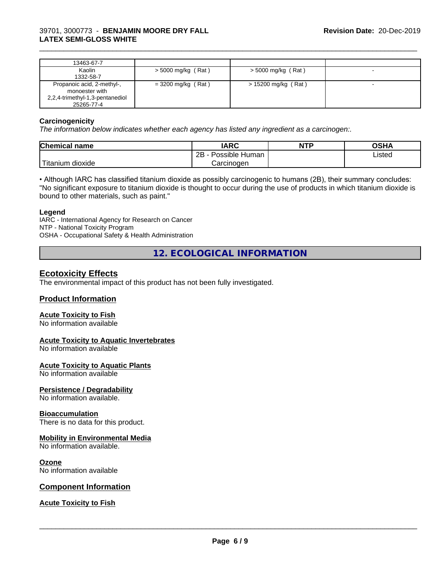| 13463-67-7                      |                      |                     |  |
|---------------------------------|----------------------|---------------------|--|
| Kaolin                          | $>$ 5000 mg/kg (Rat) | > 5000 mg/kg (Rat)  |  |
| 1332-58-7                       |                      |                     |  |
| Propanoic acid, 2-methyl-,      | $= 3200$ mg/kg (Rat) | > 15200 mg/kg (Rat) |  |
| monoester with                  |                      |                     |  |
| 2,2,4-trimethyl-1,3-pentanediol |                      |                     |  |
| 25265-77-4                      |                      |                     |  |

\_\_\_\_\_\_\_\_\_\_\_\_\_\_\_\_\_\_\_\_\_\_\_\_\_\_\_\_\_\_\_\_\_\_\_\_\_\_\_\_\_\_\_\_\_\_\_\_\_\_\_\_\_\_\_\_\_\_\_\_\_\_\_\_\_\_\_\_\_\_\_\_\_\_\_\_\_\_\_\_\_\_\_\_\_\_\_\_\_\_\_\_\_

#### **Carcinogenicity**

*The information below indicateswhether each agency has listed any ingredient as a carcinogen:.*

| <b>Chemical name</b>    | <b>IARC</b>          | <b>NTP</b> | <b>OSHA</b> |
|-------------------------|----------------------|------------|-------------|
|                         | Possible Human<br>2B |            | Listed      |
| ' Titanium J<br>dioxide | Carcinogen           |            |             |

• Although IARC has classified titanium dioxide as possibly carcinogenic to humans (2B), their summary concludes: "No significant exposure to titanium dioxide is thought to occur during the use of products in which titanium dioxide is bound to other materials, such as paint."

#### **Legend**

IARC - International Agency for Research on Cancer NTP - National Toxicity Program OSHA - Occupational Safety & Health Administration

**12. ECOLOGICAL INFORMATION**

## **Ecotoxicity Effects**

The environmental impact of this product has not been fully investigated.

#### **Product Information**

#### **Acute Toxicity to Fish**

No information available

#### **Acute Toxicity to Aquatic Invertebrates**

No information available

#### **Acute Toxicity to Aquatic Plants**

No information available

#### **Persistence / Degradability**

No information available.

#### **Bioaccumulation**

There is no data for this product.

#### **Mobility in Environmental Media**

No information available.

#### **Ozone**

No information available

#### **Component Information**

#### **Acute Toxicity to Fish**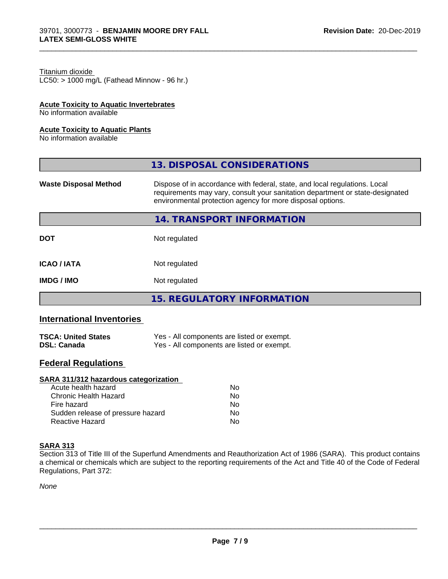## Titanium dioxide

 $LC50:$  > 1000 mg/L (Fathead Minnow - 96 hr.)

#### **Acute Toxicity to Aquatic Invertebrates**

No information available

#### **Acute Toxicity to Aquatic Plants**

No information available

|                              | 13. DISPOSAL CONSIDERATIONS                                                                                                                                                                                               |
|------------------------------|---------------------------------------------------------------------------------------------------------------------------------------------------------------------------------------------------------------------------|
| <b>Waste Disposal Method</b> | Dispose of in accordance with federal, state, and local regulations. Local<br>requirements may vary, consult your sanitation department or state-designated<br>environmental protection agency for more disposal options. |
|                              | 14. TRANSPORT INFORMATION                                                                                                                                                                                                 |
| <b>DOT</b>                   | Not regulated                                                                                                                                                                                                             |
| <b>ICAO/IATA</b>             | Not regulated                                                                                                                                                                                                             |
| <b>IMDG/IMO</b>              | Not regulated                                                                                                                                                                                                             |
|                              | <b>15. REGULATORY INFORMATION</b>                                                                                                                                                                                         |

\_\_\_\_\_\_\_\_\_\_\_\_\_\_\_\_\_\_\_\_\_\_\_\_\_\_\_\_\_\_\_\_\_\_\_\_\_\_\_\_\_\_\_\_\_\_\_\_\_\_\_\_\_\_\_\_\_\_\_\_\_\_\_\_\_\_\_\_\_\_\_\_\_\_\_\_\_\_\_\_\_\_\_\_\_\_\_\_\_\_\_\_\_

# **International Inventories**

| <b>TSCA: United States</b> | Yes - All components are listed or exempt. |
|----------------------------|--------------------------------------------|
| <b>DSL: Canada</b>         | Yes - All components are listed or exempt. |

### **Federal Regulations**

### **SARA 311/312 hazardous categorization**

| Acute health hazard               | No |
|-----------------------------------|----|
| Chronic Health Hazard             | Nο |
| Fire hazard                       | N٥ |
| Sudden release of pressure hazard | Nο |
| Reactive Hazard                   | N٥ |

#### **SARA 313**

Section 313 of Title III of the Superfund Amendments and Reauthorization Act of 1986 (SARA). This product contains a chemical or chemicals which are subject to the reporting requirements of the Act and Title 40 of the Code of Federal Regulations, Part 372:

*None*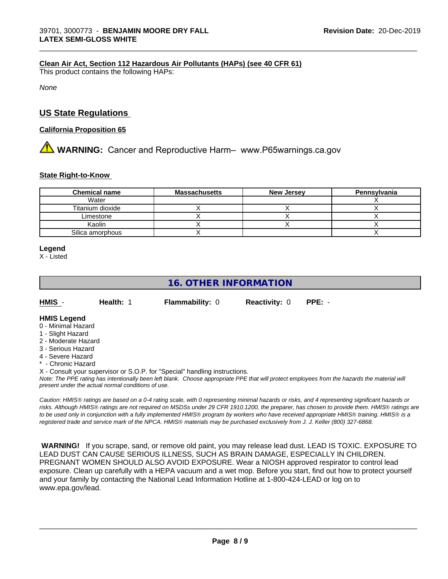#### **Clean Air Act,Section 112 Hazardous Air Pollutants (HAPs) (see 40 CFR 61)**

This product contains the following HAPs:

*None*

## **US State Regulations**

#### **California Proposition 65**

# **AVIMARNING:** Cancer and Reproductive Harm– www.P65warnings.ca.gov

#### **State Right-to-Know**

| <b>Chemical name</b> | <b>Massachusetts</b> | <b>New Jersey</b> | Pennsylvania |
|----------------------|----------------------|-------------------|--------------|
| Water                |                      |                   |              |
| Titanium dioxide     |                      |                   |              |
| Limestone            |                      |                   |              |
| Kaolin               |                      |                   |              |
| Silica amorphous     |                      |                   |              |

\_\_\_\_\_\_\_\_\_\_\_\_\_\_\_\_\_\_\_\_\_\_\_\_\_\_\_\_\_\_\_\_\_\_\_\_\_\_\_\_\_\_\_\_\_\_\_\_\_\_\_\_\_\_\_\_\_\_\_\_\_\_\_\_\_\_\_\_\_\_\_\_\_\_\_\_\_\_\_\_\_\_\_\_\_\_\_\_\_\_\_\_\_

#### **Legend**

X - Listed

# **16. OTHER INFORMATION**

| <b>HMIS</b> | <b>Health:</b> 1 | <b>Flammability: 0</b> | <b>Reactivity: 0</b> |  |
|-------------|------------------|------------------------|----------------------|--|

#### **HMIS Legend**

- 0 Minimal Hazard
- 1 Slight Hazard
- 2 Moderate Hazard
- 3 Serious Hazard
- 4 Severe Hazard
- \* Chronic Hazard

X - Consult your supervisor or S.O.P. for "Special" handling instructions.

*Note: The PPE rating has intentionally been left blank. Choose appropriate PPE that will protect employees from the hazards the material will present under the actual normal conditions of use.*

*Caution: HMISÒ ratings are based on a 0-4 rating scale, with 0 representing minimal hazards or risks, and 4 representing significant hazards or risks. Although HMISÒ ratings are not required on MSDSs under 29 CFR 1910.1200, the preparer, has chosen to provide them. HMISÒ ratings are to be used only in conjunction with a fully implemented HMISÒ program by workers who have received appropriate HMISÒ training. HMISÒ is a registered trade and service mark of the NPCA. HMISÒ materials may be purchased exclusively from J. J. Keller (800) 327-6868.*

 **WARNING!** If you scrape, sand, or remove old paint, you may release lead dust. LEAD IS TOXIC. EXPOSURE TO LEAD DUST CAN CAUSE SERIOUS ILLNESS, SUCH AS BRAIN DAMAGE, ESPECIALLY IN CHILDREN. PREGNANT WOMEN SHOULD ALSO AVOID EXPOSURE.Wear a NIOSH approved respirator to control lead exposure. Clean up carefully with a HEPA vacuum and a wet mop. Before you start, find out how to protect yourself and your family by contacting the National Lead Information Hotline at 1-800-424-LEAD or log on to www.epa.gov/lead.